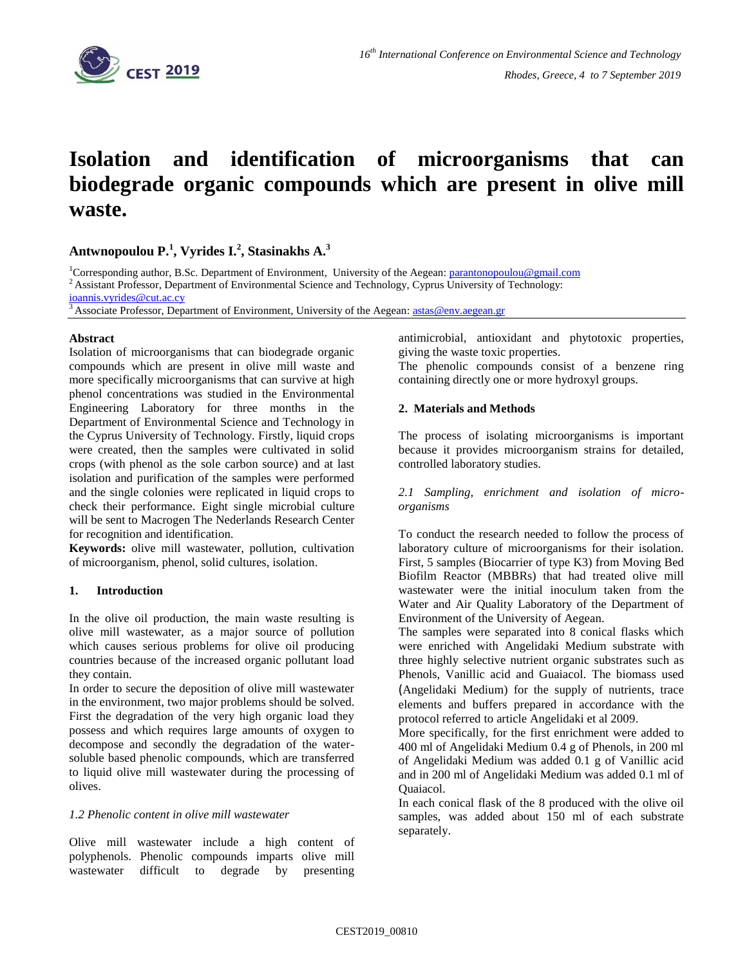

# **Isolation and identification of microorganisms that can biodegrade organic compounds which are present in olive mill waste.**

# **Antwnopoulou P.<sup>1</sup> , Vyrides I.<sup>2</sup> , Stasinakhs A.<sup>3</sup>**

<sup>1</sup>Corresponding author, B.Sc. Department of Environment, University of the Aegean[: parantonopoulou@gmail.com](mailto:parantonopoulou@gmail.com)  $2$  Assistant Professor, Department of Environmental Science and Technology, Cyprus University of Technology: [ioannis.vyrides@cut.ac.cy](mailto:ioannis.vyrides@cut.ac.cy)

Associate Professor, Department of Environment, University of the Aegean[: astas@env.aegean.gr](mailto:astas@env.aegean.gr)

## **Abstract**

Isolation of microorganisms that can biodegrade organic compounds which are present in olive mill waste and more specifically microorganisms that can survive at high phenol concentrations was studied in the Environmental Engineering Laboratory for three months in the Department of Environmental Science and Technology in the Cyprus University of Technology. Firstly, liquid crops were created, then the samples were cultivated in solid crops (with phenol as the sole carbon source) and at last isolation and purification of the samples were performed and the single colonies were replicated in liquid crops to check their performance. Eight single microbial culture will be sent to Macrogen The Nederlands Research Center for recognition and identification.

**Keywords:** olive mill wastewater, pollution, cultivation of microorganism, phenol, solid cultures, isolation.

# **1. Introduction**

In the olive oil production, the main waste resulting is olive mill wastewater, as a major source of pollution which causes serious problems for olive oil producing countries because of the increased organic pollutant load they contain.

In order to secure the deposition of olive mill wastewater in the environment, two major problems should be solved. First the degradation of the very high organic load they possess and which requires large amounts of oxygen to decompose and secondly the degradation of the watersoluble based phenolic compounds, which are transferred to liquid olive mill wastewater during the processing of olives.

#### *1.2 Phenolic content in olive mill wastewater*

Olive mill wastewater include a high content of polyphenols. Phenolic compounds imparts olive mill wastewater difficult to degrade by presenting antimicrobial, antioxidant and phytotoxic properties, giving the waste toxic properties.

The phenolic compounds consist of a benzene ring containing directly one or more hydroxyl groups.

## **2. Materials and Methods**

The process of isolating microorganisms is important because it provides microorganism strains for detailed, controlled laboratory studies.

#### *2.1 Sampling, enrichment and isolation of microorganisms*

To conduct the research needed to follow the process of laboratory culture of microorganisms for their isolation. First, 5 samples (Biocarrier of type K3) from Moving Bed Biofilm Reactor (MBBRs) that had treated olive mill wastewater were the initial inoculum taken from the Water and Air Quality Laboratory of the Department of Environment of the University of Aegean.

The samples were separated into 8 conical flasks which were enriched with Angelidaki Medium substrate with three highly selective nutrient organic substrates such as Phenols, Vanillic acid and Guaiacol. The biomass used (Angelidaki Medium) for the supply of nutrients, trace elements and buffers prepared in accordance with the protocol referred to article Angelidaki et al 2009.

More specifically, for the first enrichment were added to 400 ml of Angelidaki Medium 0.4 g of Phenols, in 200 ml of Angelidaki Medium was added 0.1 g of Vanillic acid and in 200 ml of Angelidaki Medium was added 0.1 ml of Quaiacol.

In each conical flask of the 8 produced with the olive oil samples, was added about 150 ml of each substrate separately.